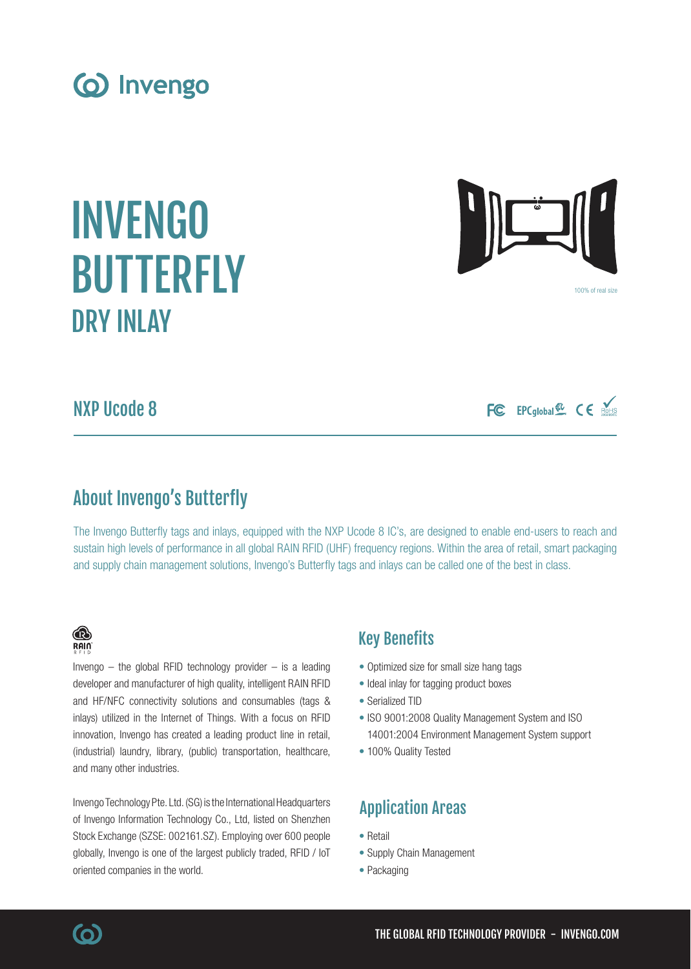BUTTERFLY DRY INLAY

INVENGO

(o) Invengo

NXP Ucode 8

## About Invengo's Butterfly

The Invengo Butterfly tags and inlays, equipped with the NXP Ucode 8 IC's, are designed to enable end-users to reach and sustain high levels of performance in all global RAIN RFID (UHF) frequency regions. Within the area of retail, smart packaging and supply chain management solutions, Invengo's Butterfly tags and inlays can be called one of the best in class.

### Key Benefits

- Optimized size for small size hang tags
- Ideal inlay for tagging product boxes
- Serialized TID
- ISO 9001:2008 Quality Management System and ISO 14001:2004 Environment Management System support
- 100% Quality Tested

## Application Areas

- Retail
- Supply Chain Management
- Packaging

### (industrial) laundry, library, (public) transportation, healthcare, and many other industries. Invengo Technology Pte. Ltd. (SG) is the International Headquarters

of Invengo Information Technology Co., Ltd, listed on Shenzhen Stock Exchange (SZSE: 002161.SZ). Employing over 600 people globally, Invengo is one of the largest publicly traded, RFID / IoT oriented companies in the world.

Invengo  $-$  the global RFID technology provider  $-$  is a leading developer and manufacturer of high quality, intelligent RAIN RFID and HF/NFC connectivity solutions and consumables (tags & inlays) utilized in the Internet of Things. With a focus on RFID innovation, Invengo has created a leading product line in retail,



FC EPCglobal & CE





® RAIN